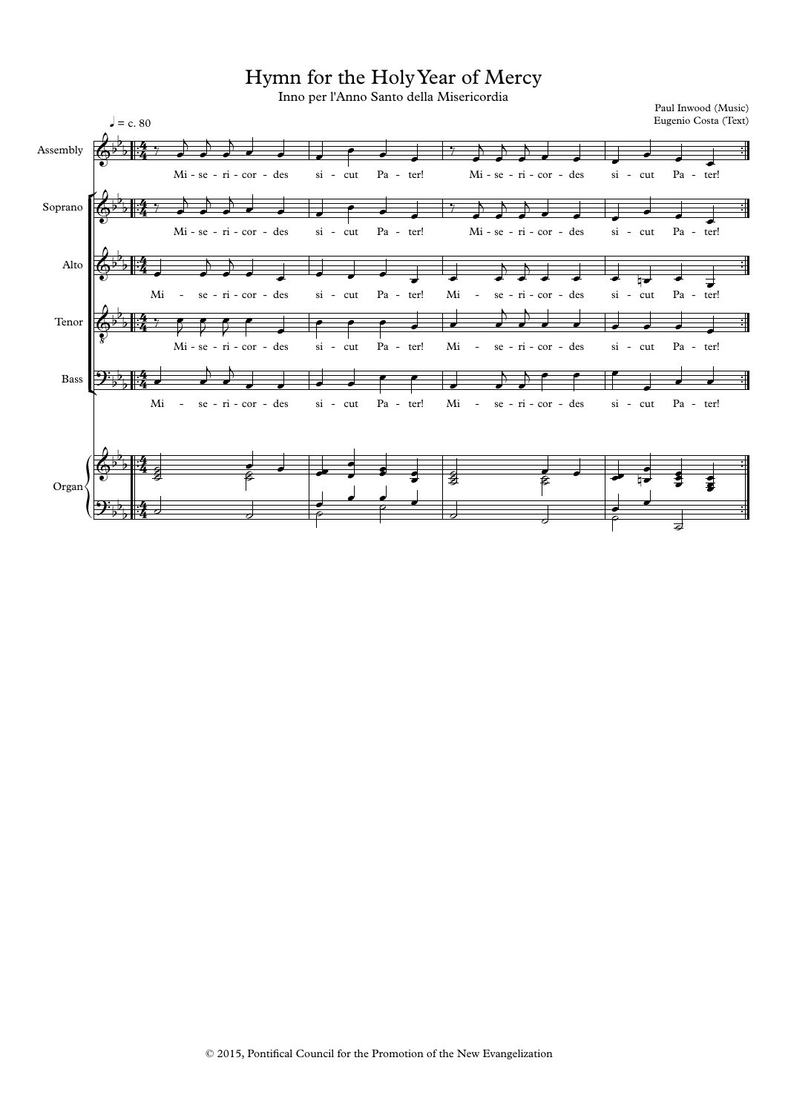Hymn for the HolyYear of Mercy

Inno per l'Anno Santo della Misericordia

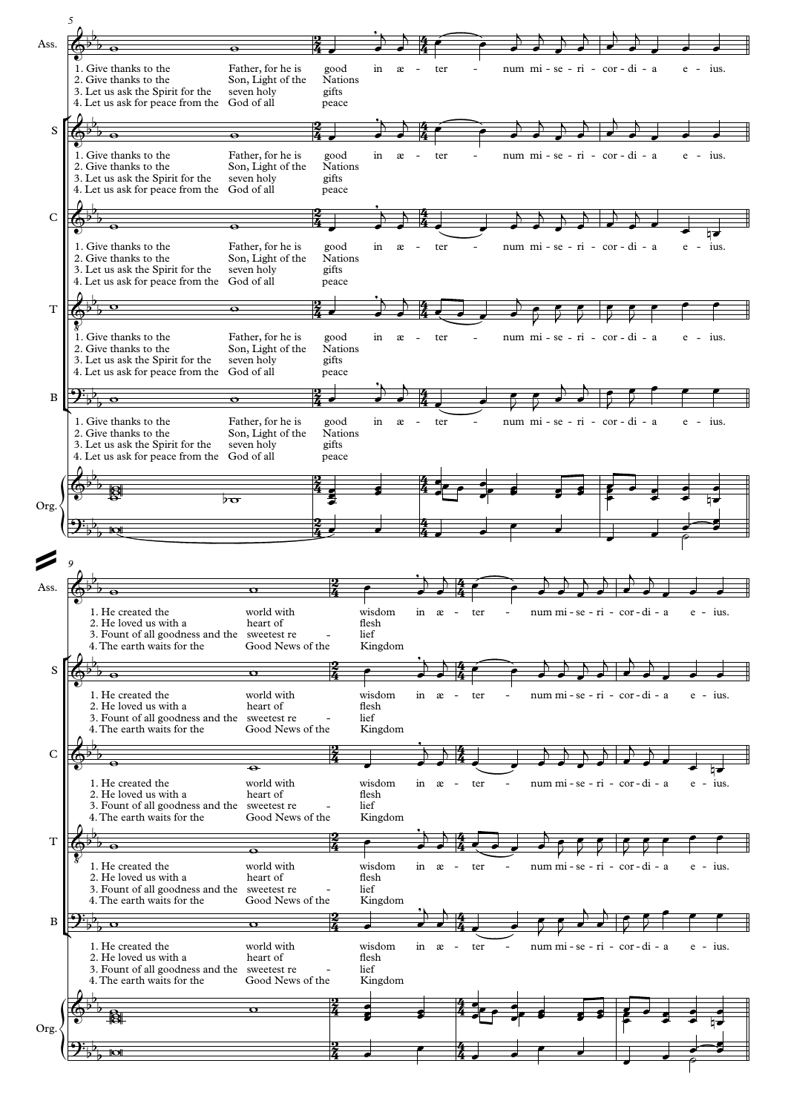